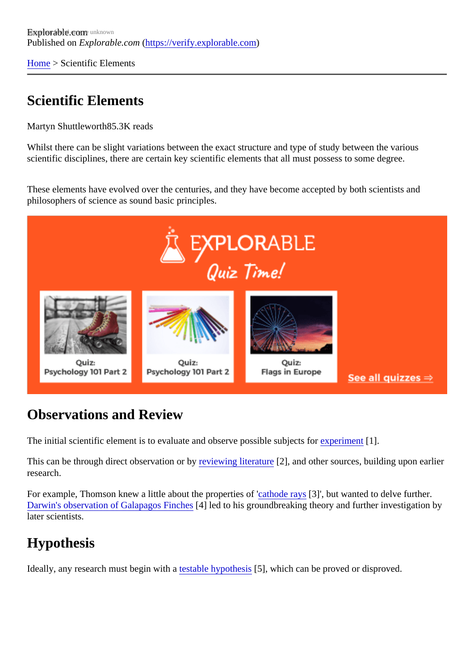[Home](https://verify.explorable.com/)> Scientific Elements

### Scientific Elements

Martyn Shuttlewort<sup>85.3K</sup> reads

Whilst there can be slight variations between the exact structure and type of study between the various scientific disciplines, there are certain key scientific elements that all must possess to some degree.

These elements have evolved over the centuries, and they have become accepted by both scientists and philosophers of science as sound basic principles.

#### Observations and Review

The initial scientific element is to evaluate and observe possible subjects forment 1.

This can be through direct observation or by ewing literature 2], and other sources, building upon earlier research.

For example, Thomson knew a little about the properties at fode ray [3]', but wanted to delve further. [Darwin's observation of Galapagos Finc](https://verify.explorable.com/darwins-finches)hes at to his groundbreaking theory and further investigation by later scientists.

# **Hypothesis**

Ideally, any research must begin with a table hypothes<sup>[5]</sup>, which can be proved or disproved.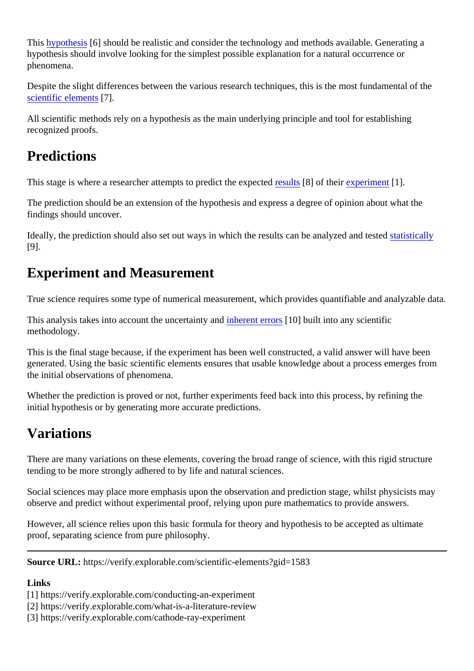This [hypothesis](https://verify.explorable.com/research-hypothesis)<sup>6</sup>] should be realistic and consider the technology and methods available. Generating a hypothesis should involve looking for the simplest possible explanation for a natural occurrence or phenomena.

Despite the slight differences between the various research techniques, this is the most fundamental of the [scientific element](http://en.wikipedia.org/wiki/Scientific_method)<sup>57</sup>.

All scientific methods rely on a hypothesis as the main underlying principle and tool for establishing recognized proofs.

### **Predictions**

This stage is where a researcher attempts to predict the expectures of their [experimen](https://verify.explorable.com/conducting-an-experiment)t 1.

The prediction should be an extension of the hypothesis and express a degree of opinion about what the findings should uncover.

Ideally, the prediction should also set out ways in which the results can be analyzed are the statistically [9].

# Experiment and Measurement

True science requires some type of numerical measurement, which provides quantifiable and analyzable data.

This analysis takes into account the uncertainty and interrors [0] built into any scientific methodology.

This is the final stage because, if the experiment has been well constructed, a valid answer will have been generated. Using the basic scientific elements ensures that usable knowledge about a process emerges from the initial observations of phenomena.

Whether the prediction is proved or not, further experiments feed back into this process, by refining the initial hypothesis or by generating more accurate predictions.

### Variations

There are many variations on these elements, covering the broad range of science, with this rigid structure tending to be more strongly adhered to by life and natural sciences.

Social sciences may place more emphasis upon the observation and prediction stage, whilst physicists may observe and predict without experimental proof, relying upon pure mathematics to provide answers.

However, all science relies upon this basic formula for theory and hypothesis to be accepted as ultimate proof, separating science from pure philosophy.

Source URL: https://verify.explorable.com/scientific-elements?gid=1583

Links

[1] https://verify.explorable.com/conducting-an-experiment

[2] https://verify.explorable.com/what-is-a-literature-review

[3] https://verify.explorable.com/cathode-ray-experiment